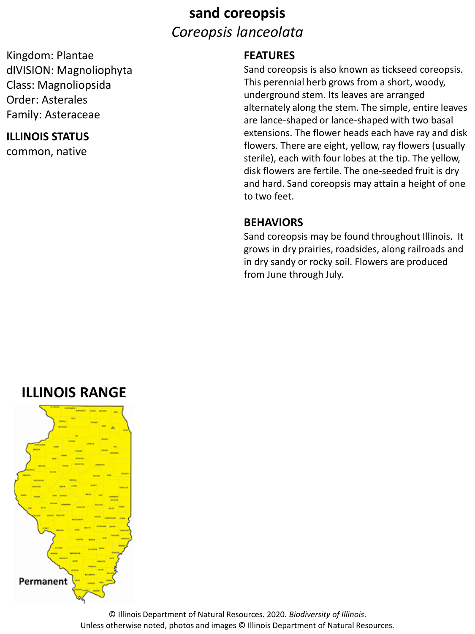## **sand coreopsis** *Coreopsis lanceolata*

Kingdom: Plantae dIVISION: Magnoliophyta Class: Magnoliopsida Order: Asterales Family: Asteraceae

#### **ILLINOIS STATUS**

common, native

#### **FEATURES**

Sand coreopsis is also known as tickseed coreopsis. This perennial herb grows from a short, woody, underground stem. Its leaves are arranged alternately along the stem. The simple, entire leaves are lance-shaped or lance-shaped with two basal extensions. The flower heads each have ray and disk flowers. There are eight, yellow, ray flowers (usually sterile), each with four lobes at the tip. The yellow, disk flowers are fertile. The one-seeded fruit is dry and hard. Sand coreopsis may attain a height of one to two feet.

#### **BEHAVIORS**

Sand coreopsis may be found throughout Illinois. It grows in dry prairies, roadsides, along railroads and in dry sandy or rocky soil. Flowers are produced from June through July.

## **ILLINOIS RANGE**



© Illinois Department of Natural Resources. 2020. *Biodiversity of Illinois*. Unless otherwise noted, photos and images © Illinois Department of Natural Resources.